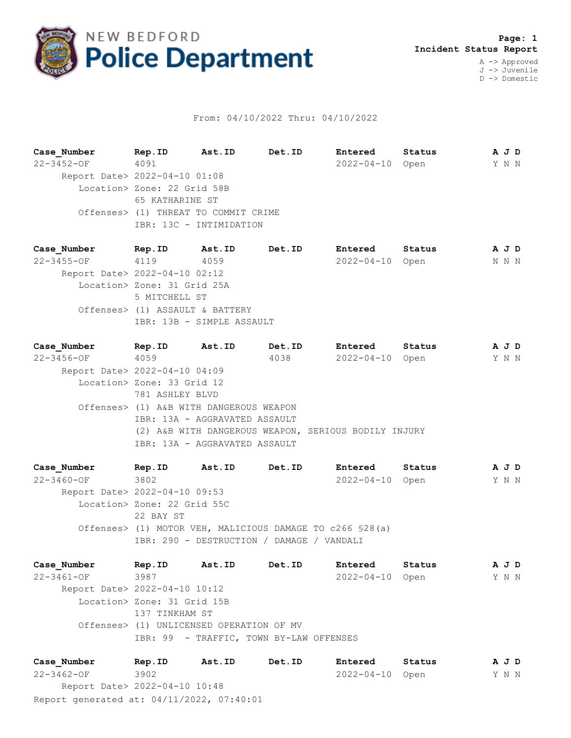

## From: 04/10/2022 Thru: 04/10/2022

**Case\_Number Rep.ID Ast.ID Det.ID Entered Status A J D** 22-3452-OF 4091 2022-04-10 Open Y N N Report Date> 2022-04-10 01:08 Location> Zone: 22 Grid 58B 65 KATHARINE ST Offenses> (1) THREAT TO COMMIT CRIME IBR: 13C - INTIMIDATION

**Case\_Number Rep.ID Ast.ID Det.ID Entered Status A J D** 22-3455-OF 4119 4059 2022-04-10 Open N N N Report Date> 2022-04-10 02:12 Location> Zone: 31 Grid 25A 5 MITCHELL ST Offenses> (1) ASSAULT & BATTERY IBR: 13B - SIMPLE ASSAULT

**Case\_Number Rep.ID Ast.ID Det.ID Entered Status A J D** 22-3456-OF 4059 4038 2022-04-10 Open Y N N Report Date> 2022-04-10 04:09 Location> Zone: 33 Grid 12 781 ASHLEY BLVD Offenses> (1) A&B WITH DANGEROUS WEAPON IBR: 13A - AGGRAVATED ASSAULT (2) A&B WITH DANGEROUS WEAPON, SERIOUS BODILY INJURY IBR: 13A - AGGRAVATED ASSAULT

**Case\_Number Rep.ID Ast.ID Det.ID Entered Status A J D** 22-3460-OF 3802 2022-04-10 Open Y N N Report Date> 2022-04-10 09:53 Location> Zone: 22 Grid 55C 22 BAY ST Offenses> (1) MOTOR VEH, MALICIOUS DAMAGE TO c266 §28(a) IBR: 290 - DESTRUCTION / DAMAGE / VANDALI

**Case\_Number Rep.ID Ast.ID Det.ID Entered Status A J D** 22-3461-OF 3987 2022-04-10 Open Y N N Report Date> 2022-04-10 10:12 Location> Zone: 31 Grid 15B 137 TINKHAM ST Offenses> (1) UNLICENSED OPERATION OF MV IBR: 99 - TRAFFIC, TOWN BY-LAW OFFENSES

Report generated at: 04/11/2022, 07:40:01 **Case\_Number Rep.ID Ast.ID Det.ID Entered Status A J D** 22-3462-OF 3902 2022-04-10 Open Y N N Report Date> 2022-04-10 10:48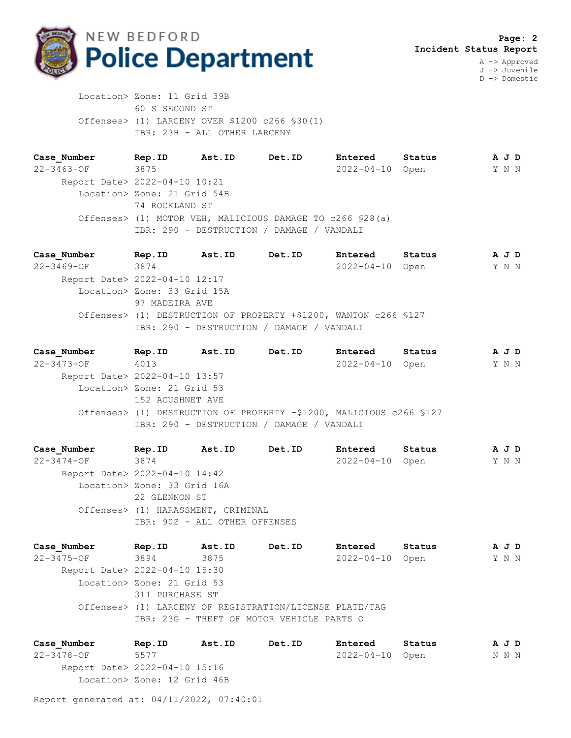

D -> Domestic

 Location> Zone: 11 Grid 39B 60 S SECOND ST Offenses> (1) LARCENY OVER \$1200 c266 §30(1) IBR: 23H - ALL OTHER LARCENY

**Case\_Number Rep.ID Ast.ID Det.ID Entered Status A J D** 22-3463-OF 3875 2022-04-10 Open Y N N Report Date> 2022-04-10 10:21 Location> Zone: 21 Grid 54B 74 ROCKLAND ST Offenses> (1) MOTOR VEH, MALICIOUS DAMAGE TO c266 §28(a) IBR: 290 - DESTRUCTION / DAMAGE / VANDALI

**Case\_Number Rep.ID Ast.ID Det.ID Entered Status A J D** 22-3469-OF 3874 2022-04-10 Open Y N N Report Date> 2022-04-10 12:17 Location> Zone: 33 Grid 15A 97 MADEIRA AVE Offenses> (1) DESTRUCTION OF PROPERTY +\$1200, WANTON c266 §127 IBR: 290 - DESTRUCTION / DAMAGE / VANDALI

**Case\_Number Rep.ID Ast.ID Det.ID Entered Status A J D** 22-3473-OF 4013 2022-04-10 Open Y N N Report Date> 2022-04-10 13:57 Location> Zone: 21 Grid 53 152 ACUSHNET AVE Offenses> (1) DESTRUCTION OF PROPERTY -\$1200, MALICIOUS c266 §127 IBR: 290 - DESTRUCTION / DAMAGE / VANDALI

**Case\_Number Rep.ID Ast.ID Det.ID Entered Status A J D** 22-3474-OF 3874 2022-04-10 Open Y N N Report Date> 2022-04-10 14:42 Location> Zone: 33 Grid 16A 22 GLENNON ST Offenses> (1) HARASSMENT, CRIMINAL IBR: 90Z - ALL OTHER OFFENSES

**Case\_Number Rep.ID Ast.ID Det.ID Entered Status A J D** 22-3475-OF 3894 3875 2022-04-10 Open Y N N Report Date> 2022-04-10 15:30 Location> Zone: 21 Grid 53 311 PURCHASE ST Offenses> (1) LARCENY OF REGISTRATION/LICENSE PLATE/TAG IBR: 23G - THEFT OF MOTOR VEHICLE PARTS O

**Case\_Number Rep.ID Ast.ID Det.ID Entered Status A J D** 22-3478-OF 5577 2022-04-10 Open N N N Report Date> 2022-04-10 15:16 Location> Zone: 12 Grid 46B

Report generated at: 04/11/2022, 07:40:01